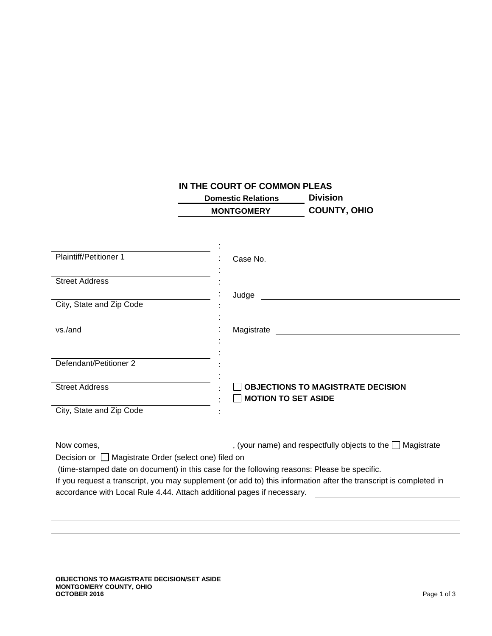## **IN THE COURT OF COMMON PLEAS**

 **Domestic Relations Division MONTGOMERY COUNTY, OHIO**

| <b>Plaintiff/Petitioner 1</b>                        | Case No.                                                                                                          |
|------------------------------------------------------|-------------------------------------------------------------------------------------------------------------------|
|                                                      |                                                                                                                   |
| <b>Street Address</b>                                |                                                                                                                   |
|                                                      | Judge                                                                                                             |
| City, State and Zip Code                             |                                                                                                                   |
| vs./and                                              | Magistrate <u>__________________________________</u>                                                              |
| Defendant/Petitioner 2                               |                                                                                                                   |
| <b>Street Address</b>                                | <b>OBJECTIONS TO MAGISTRATE DECISION</b><br><b>MOTION TO SET ASIDE</b>                                            |
| City, State and Zip Code                             |                                                                                                                   |
|                                                      |                                                                                                                   |
| Decision or □ Magistrate Order (select one) filed on | <u> 1990 - Johann Barbara, martin a</u>                                                                           |
|                                                      | (time-stamped date on document) in this case for the following reasons: Please be specific.                       |
|                                                      | If you request a transcript, you may supplement (or add to) this information after the transcript is completed in |
|                                                      | accordance with Local Rule 4.44. Attach additional pages if necessary. _____________________________              |
|                                                      |                                                                                                                   |
|                                                      |                                                                                                                   |
|                                                      |                                                                                                                   |
|                                                      |                                                                                                                   |
|                                                      |                                                                                                                   |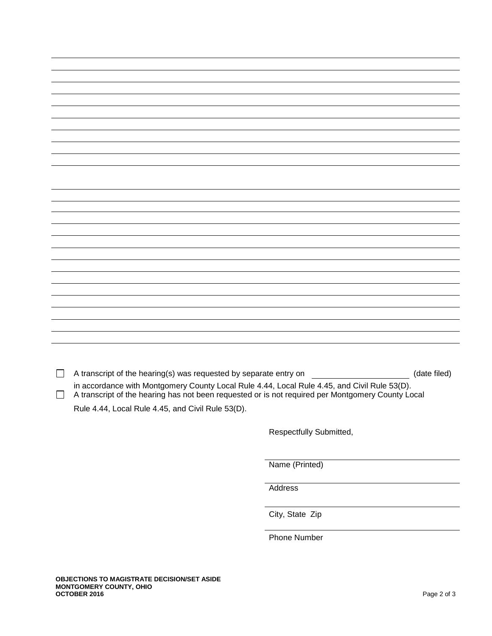| A transcript of the hearing(s) was requested by separate entry on ____________<br>(date filed)                                                                                                    |
|---------------------------------------------------------------------------------------------------------------------------------------------------------------------------------------------------|
|                                                                                                                                                                                                   |
| in accordance with Montgomery County Local Rule 4.44, Local Rule 4.45, and Civil Rule 53(D).<br>A transcript of the hearing has not been requested or is not required per Montgomery County Local |
| Rule 4.44, Local Rule 4.45, and Civil Rule 53(D).                                                                                                                                                 |
|                                                                                                                                                                                                   |
|                                                                                                                                                                                                   |
| Respectfully Submitted,                                                                                                                                                                           |
|                                                                                                                                                                                                   |
|                                                                                                                                                                                                   |
|                                                                                                                                                                                                   |
| Name (Printed)                                                                                                                                                                                    |
|                                                                                                                                                                                                   |
|                                                                                                                                                                                                   |

Address

City, State Zip

Phone Number